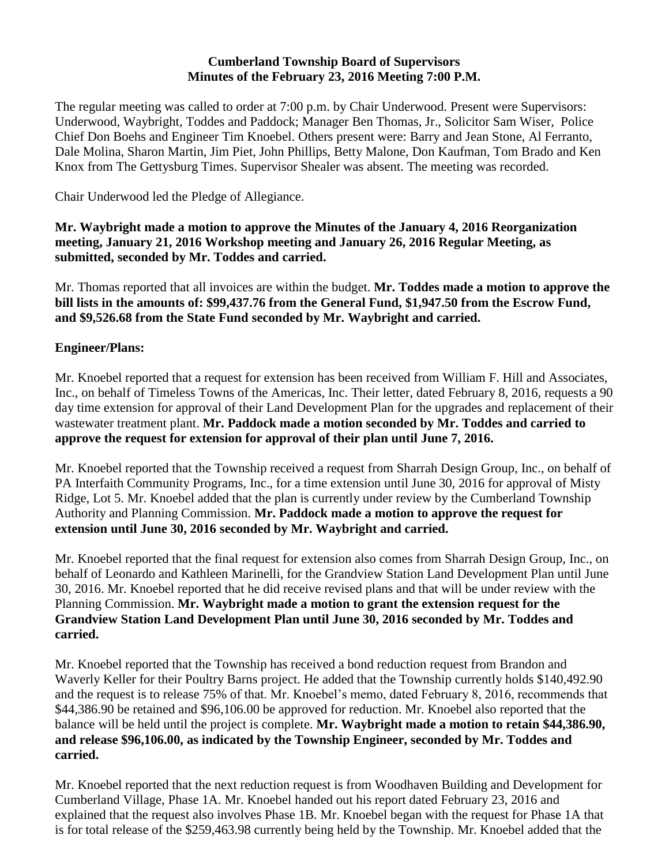#### **Cumberland Township Board of Supervisors Minutes of the February 23, 2016 Meeting 7:00 P.M.**

The regular meeting was called to order at 7:00 p.m. by Chair Underwood. Present were Supervisors: Underwood, Waybright, Toddes and Paddock; Manager Ben Thomas, Jr., Solicitor Sam Wiser, Police Chief Don Boehs and Engineer Tim Knoebel. Others present were: Barry and Jean Stone, Al Ferranto, Dale Molina, Sharon Martin, Jim Piet, John Phillips, Betty Malone, Don Kaufman, Tom Brado and Ken Knox from The Gettysburg Times. Supervisor Shealer was absent. The meeting was recorded.

Chair Underwood led the Pledge of Allegiance.

**Mr. Waybright made a motion to approve the Minutes of the January 4, 2016 Reorganization meeting, January 21, 2016 Workshop meeting and January 26, 2016 Regular Meeting, as submitted, seconded by Mr. Toddes and carried.**

Mr. Thomas reported that all invoices are within the budget. **Mr. Toddes made a motion to approve the bill lists in the amounts of: \$99,437.76 from the General Fund, \$1,947.50 from the Escrow Fund, and \$9,526.68 from the State Fund seconded by Mr. Waybright and carried.**

# **Engineer/Plans:**

Mr. Knoebel reported that a request for extension has been received from William F. Hill and Associates, Inc., on behalf of Timeless Towns of the Americas, Inc. Their letter, dated February 8, 2016, requests a 90 day time extension for approval of their Land Development Plan for the upgrades and replacement of their wastewater treatment plant. **Mr. Paddock made a motion seconded by Mr. Toddes and carried to approve the request for extension for approval of their plan until June 7, 2016.**

Mr. Knoebel reported that the Township received a request from Sharrah Design Group, Inc., on behalf of PA Interfaith Community Programs, Inc., for a time extension until June 30, 2016 for approval of Misty Ridge, Lot 5. Mr. Knoebel added that the plan is currently under review by the Cumberland Township Authority and Planning Commission. **Mr. Paddock made a motion to approve the request for extension until June 30, 2016 seconded by Mr. Waybright and carried.**

Mr. Knoebel reported that the final request for extension also comes from Sharrah Design Group, Inc., on behalf of Leonardo and Kathleen Marinelli, for the Grandview Station Land Development Plan until June 30, 2016. Mr. Knoebel reported that he did receive revised plans and that will be under review with the Planning Commission. **Mr. Waybright made a motion to grant the extension request for the Grandview Station Land Development Plan until June 30, 2016 seconded by Mr. Toddes and carried.**

Mr. Knoebel reported that the Township has received a bond reduction request from Brandon and Waverly Keller for their Poultry Barns project. He added that the Township currently holds \$140,492.90 and the request is to release 75% of that. Mr. Knoebel's memo, dated February 8, 2016, recommends that \$44,386.90 be retained and \$96,106.00 be approved for reduction. Mr. Knoebel also reported that the balance will be held until the project is complete. **Mr. Waybright made a motion to retain \$44,386.90, and release \$96,106.00, as indicated by the Township Engineer, seconded by Mr. Toddes and carried.** 

Mr. Knoebel reported that the next reduction request is from Woodhaven Building and Development for Cumberland Village, Phase 1A. Mr. Knoebel handed out his report dated February 23, 2016 and explained that the request also involves Phase 1B. Mr. Knoebel began with the request for Phase 1A that is for total release of the \$259,463.98 currently being held by the Township. Mr. Knoebel added that the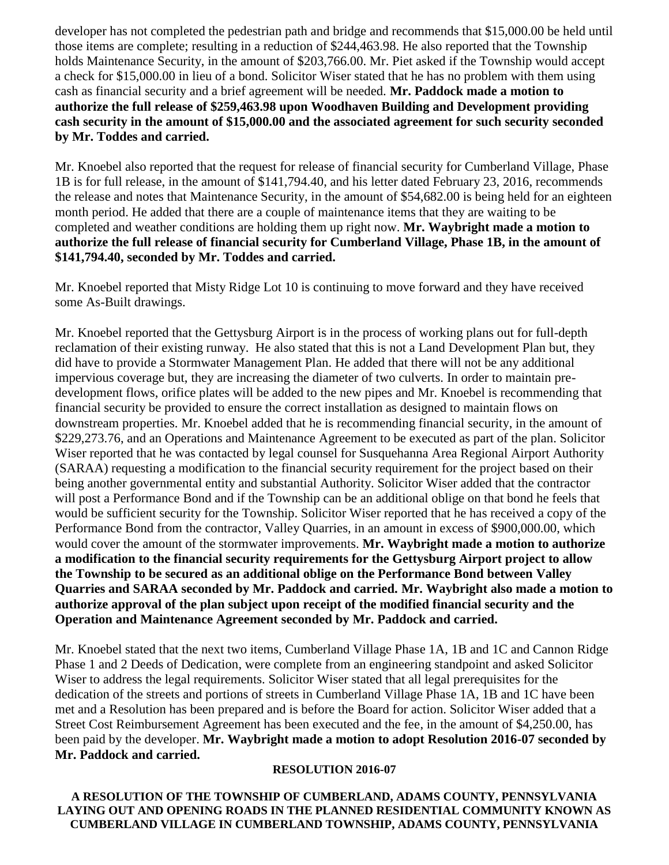developer has not completed the pedestrian path and bridge and recommends that \$15,000.00 be held until those items are complete; resulting in a reduction of \$244,463.98. He also reported that the Township holds Maintenance Security, in the amount of \$203,766.00. Mr. Piet asked if the Township would accept a check for \$15,000.00 in lieu of a bond. Solicitor Wiser stated that he has no problem with them using cash as financial security and a brief agreement will be needed. **Mr. Paddock made a motion to authorize the full release of \$259,463.98 upon Woodhaven Building and Development providing cash security in the amount of \$15,000.00 and the associated agreement for such security seconded by Mr. Toddes and carried.**

Mr. Knoebel also reported that the request for release of financial security for Cumberland Village, Phase 1B is for full release, in the amount of \$141,794.40, and his letter dated February 23, 2016, recommends the release and notes that Maintenance Security, in the amount of \$54,682.00 is being held for an eighteen month period. He added that there are a couple of maintenance items that they are waiting to be completed and weather conditions are holding them up right now. **Mr. Waybright made a motion to authorize the full release of financial security for Cumberland Village, Phase 1B, in the amount of \$141,794.40, seconded by Mr. Toddes and carried.**

Mr. Knoebel reported that Misty Ridge Lot 10 is continuing to move forward and they have received some As-Built drawings.

Mr. Knoebel reported that the Gettysburg Airport is in the process of working plans out for full-depth reclamation of their existing runway. He also stated that this is not a Land Development Plan but, they did have to provide a Stormwater Management Plan. He added that there will not be any additional impervious coverage but, they are increasing the diameter of two culverts. In order to maintain predevelopment flows, orifice plates will be added to the new pipes and Mr. Knoebel is recommending that financial security be provided to ensure the correct installation as designed to maintain flows on downstream properties. Mr. Knoebel added that he is recommending financial security, in the amount of \$229,273.76, and an Operations and Maintenance Agreement to be executed as part of the plan. Solicitor Wiser reported that he was contacted by legal counsel for Susquehanna Area Regional Airport Authority (SARAA) requesting a modification to the financial security requirement for the project based on their being another governmental entity and substantial Authority. Solicitor Wiser added that the contractor will post a Performance Bond and if the Township can be an additional oblige on that bond he feels that would be sufficient security for the Township. Solicitor Wiser reported that he has received a copy of the Performance Bond from the contractor, Valley Quarries, in an amount in excess of \$900,000.00, which would cover the amount of the stormwater improvements. **Mr. Waybright made a motion to authorize a modification to the financial security requirements for the Gettysburg Airport project to allow the Township to be secured as an additional oblige on the Performance Bond between Valley Quarries and SARAA seconded by Mr. Paddock and carried. Mr. Waybright also made a motion to authorize approval of the plan subject upon receipt of the modified financial security and the Operation and Maintenance Agreement seconded by Mr. Paddock and carried.**

Mr. Knoebel stated that the next two items, Cumberland Village Phase 1A, 1B and 1C and Cannon Ridge Phase 1 and 2 Deeds of Dedication, were complete from an engineering standpoint and asked Solicitor Wiser to address the legal requirements. Solicitor Wiser stated that all legal prerequisites for the dedication of the streets and portions of streets in Cumberland Village Phase 1A, 1B and 1C have been met and a Resolution has been prepared and is before the Board for action. Solicitor Wiser added that a Street Cost Reimbursement Agreement has been executed and the fee, in the amount of \$4,250.00, has been paid by the developer. **Mr. Waybright made a motion to adopt Resolution 2016-07 seconded by Mr. Paddock and carried.**

#### **RESOLUTION 2016-07**

**A RESOLUTION OF THE TOWNSHIP OF CUMBERLAND, ADAMS COUNTY, PENNSYLVANIA LAYING OUT AND OPENING ROADS IN THE PLANNED RESIDENTIAL COMMUNITY KNOWN AS CUMBERLAND VILLAGE IN CUMBERLAND TOWNSHIP, ADAMS COUNTY, PENNSYLVANIA**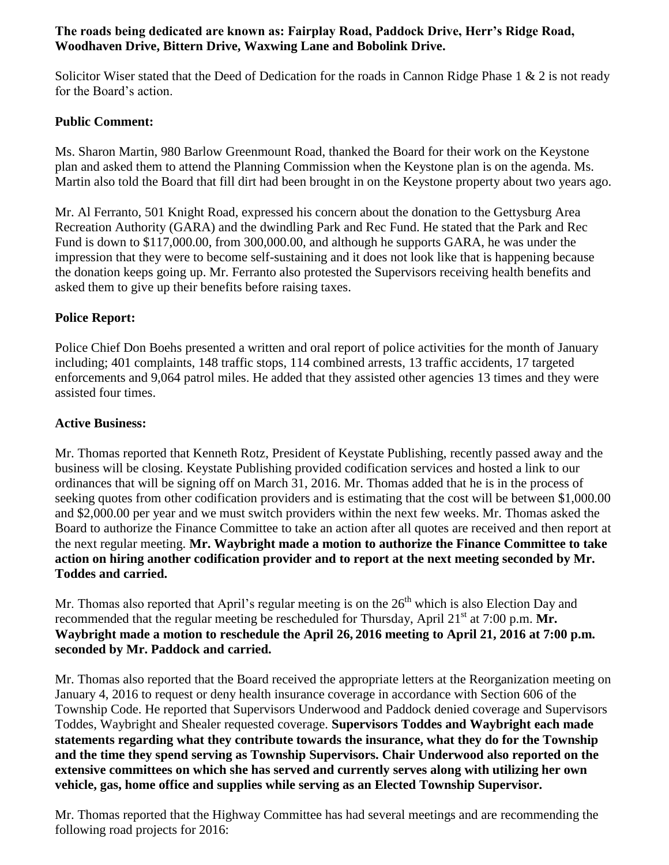#### **The roads being dedicated are known as: Fairplay Road, Paddock Drive, Herr's Ridge Road, Woodhaven Drive, Bittern Drive, Waxwing Lane and Bobolink Drive.**

Solicitor Wiser stated that the Deed of Dedication for the roads in Cannon Ridge Phase 1 & 2 is not ready for the Board's action.

## **Public Comment:**

Ms. Sharon Martin, 980 Barlow Greenmount Road, thanked the Board for their work on the Keystone plan and asked them to attend the Planning Commission when the Keystone plan is on the agenda. Ms. Martin also told the Board that fill dirt had been brought in on the Keystone property about two years ago.

Mr. Al Ferranto, 501 Knight Road, expressed his concern about the donation to the Gettysburg Area Recreation Authority (GARA) and the dwindling Park and Rec Fund. He stated that the Park and Rec Fund is down to \$117,000.00, from 300,000.00, and although he supports GARA, he was under the impression that they were to become self-sustaining and it does not look like that is happening because the donation keeps going up. Mr. Ferranto also protested the Supervisors receiving health benefits and asked them to give up their benefits before raising taxes.

# **Police Report:**

Police Chief Don Boehs presented a written and oral report of police activities for the month of January including; 401 complaints, 148 traffic stops, 114 combined arrests, 13 traffic accidents, 17 targeted enforcements and 9,064 patrol miles. He added that they assisted other agencies 13 times and they were assisted four times.

### **Active Business:**

Mr. Thomas reported that Kenneth Rotz, President of Keystate Publishing, recently passed away and the business will be closing. Keystate Publishing provided codification services and hosted a link to our ordinances that will be signing off on March 31, 2016. Mr. Thomas added that he is in the process of seeking quotes from other codification providers and is estimating that the cost will be between \$1,000.00 and \$2,000.00 per year and we must switch providers within the next few weeks. Mr. Thomas asked the Board to authorize the Finance Committee to take an action after all quotes are received and then report at the next regular meeting. **Mr. Waybright made a motion to authorize the Finance Committee to take action on hiring another codification provider and to report at the next meeting seconded by Mr. Toddes and carried.**

Mr. Thomas also reported that April's regular meeting is on the  $26<sup>th</sup>$  which is also Election Day and recommended that the regular meeting be rescheduled for Thursday, April 21<sup>st</sup> at 7:00 p.m. **Mr. Waybright made a motion to reschedule the April 26, 2016 meeting to April 21, 2016 at 7:00 p.m. seconded by Mr. Paddock and carried.** 

Mr. Thomas also reported that the Board received the appropriate letters at the Reorganization meeting on January 4, 2016 to request or deny health insurance coverage in accordance with Section 606 of the Township Code. He reported that Supervisors Underwood and Paddock denied coverage and Supervisors Toddes, Waybright and Shealer requested coverage. **Supervisors Toddes and Waybright each made statements regarding what they contribute towards the insurance, what they do for the Township and the time they spend serving as Township Supervisors. Chair Underwood also reported on the extensive committees on which she has served and currently serves along with utilizing her own vehicle, gas, home office and supplies while serving as an Elected Township Supervisor.**

Mr. Thomas reported that the Highway Committee has had several meetings and are recommending the following road projects for 2016: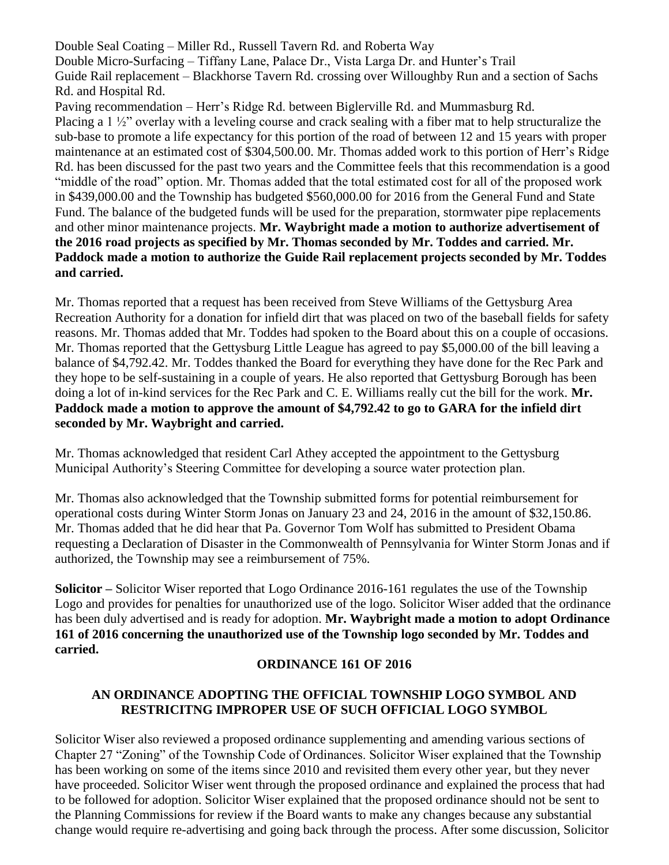Double Seal Coating – Miller Rd., Russell Tavern Rd. and Roberta Way Double Micro-Surfacing – Tiffany Lane, Palace Dr., Vista Larga Dr. and Hunter's Trail Guide Rail replacement – Blackhorse Tavern Rd. crossing over Willoughby Run and a section of Sachs Rd. and Hospital Rd. Paving recommendation – Herr's Ridge Rd. between Biglerville Rd. and Mummasburg Rd. Placing a 1 ½" overlay with a leveling course and crack sealing with a fiber mat to help structuralize the sub-base to promote a life expectancy for this portion of the road of between 12 and 15 years with proper maintenance at an estimated cost of \$304,500.00. Mr. Thomas added work to this portion of Herr's Ridge Rd. has been discussed for the past two years and the Committee feels that this recommendation is a good "middle of the road" option. Mr. Thomas added that the total estimated cost for all of the proposed work in \$439,000.00 and the Township has budgeted \$560,000.00 for 2016 from the General Fund and State Fund. The balance of the budgeted funds will be used for the preparation, stormwater pipe replacements and other minor maintenance projects. **Mr. Waybright made a motion to authorize advertisement of the 2016 road projects as specified by Mr. Thomas seconded by Mr. Toddes and carried. Mr. Paddock made a motion to authorize the Guide Rail replacement projects seconded by Mr. Toddes and carried.**

Mr. Thomas reported that a request has been received from Steve Williams of the Gettysburg Area Recreation Authority for a donation for infield dirt that was placed on two of the baseball fields for safety reasons. Mr. Thomas added that Mr. Toddes had spoken to the Board about this on a couple of occasions. Mr. Thomas reported that the Gettysburg Little League has agreed to pay \$5,000.00 of the bill leaving a balance of \$4,792.42. Mr. Toddes thanked the Board for everything they have done for the Rec Park and they hope to be self-sustaining in a couple of years. He also reported that Gettysburg Borough has been doing a lot of in-kind services for the Rec Park and C. E. Williams really cut the bill for the work. **Mr. Paddock made a motion to approve the amount of \$4,792.42 to go to GARA for the infield dirt seconded by Mr. Waybright and carried.**

Mr. Thomas acknowledged that resident Carl Athey accepted the appointment to the Gettysburg Municipal Authority's Steering Committee for developing a source water protection plan.

Mr. Thomas also acknowledged that the Township submitted forms for potential reimbursement for operational costs during Winter Storm Jonas on January 23 and 24, 2016 in the amount of \$32,150.86. Mr. Thomas added that he did hear that Pa. Governor Tom Wolf has submitted to President Obama requesting a Declaration of Disaster in the Commonwealth of Pennsylvania for Winter Storm Jonas and if authorized, the Township may see a reimbursement of 75%.

**Solicitor –** Solicitor Wiser reported that Logo Ordinance 2016-161 regulates the use of the Township Logo and provides for penalties for unauthorized use of the logo. Solicitor Wiser added that the ordinance has been duly advertised and is ready for adoption. **Mr. Waybright made a motion to adopt Ordinance 161 of 2016 concerning the unauthorized use of the Township logo seconded by Mr. Toddes and carried.**

### **ORDINANCE 161 OF 2016**

# **AN ORDINANCE ADOPTING THE OFFICIAL TOWNSHIP LOGO SYMBOL AND RESTRICITNG IMPROPER USE OF SUCH OFFICIAL LOGO SYMBOL**

Solicitor Wiser also reviewed a proposed ordinance supplementing and amending various sections of Chapter 27 "Zoning" of the Township Code of Ordinances. Solicitor Wiser explained that the Township has been working on some of the items since 2010 and revisited them every other year, but they never have proceeded. Solicitor Wiser went through the proposed ordinance and explained the process that had to be followed for adoption. Solicitor Wiser explained that the proposed ordinance should not be sent to the Planning Commissions for review if the Board wants to make any changes because any substantial change would require re-advertising and going back through the process. After some discussion, Solicitor